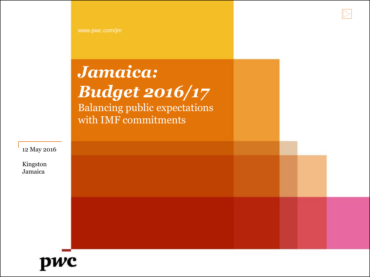# *Jamaica: Budget 2016/17*

Balancing public expectations with IMF commitments

12 May 2016

Kingston Jamaica

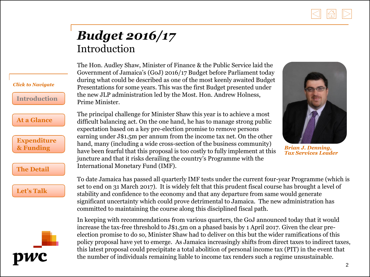

### *Budget 2016/17* Introduction

*Click to Navigate*

**Introduction**

**[At a Glance](#page-2-0)**

**[Expenditure](#page-3-0) & Funding**

**[The Detail](#page-4-0)**

**[Let's Talk](#page-14-0)**

<span id="page-1-0"></span>

The Hon. Audley Shaw, Minister of Finance & the Public Service laid the Government of Jamaica's (GoJ) 2016/17 Budget before Parliament today during what could be described as one of the most keenly awaited Budget Presentations for some years. This was the first Budget presented under the new JLP administration led by the Most. Hon. Andrew Holness, Prime Minister.

The principal challenge for Minister Shaw this year is to achieve a most difficult balancing act. On the one hand, he has to manage strong public expectation based on a key pre-election promise to remove persons earning under J\$1.5m per annum from the income tax net. On the other hand, many (including a wide cross-section of the business community) have been fearful that this proposal is too costly to fully implement at this juncture and that it risks derailing the country's Programme with the International Monetary Fund (IMF).



*Brian J. Denning, Tax Services Leader*

To date Jamaica has passed all quarterly IMF tests under the current four-year Programme (which is set to end on 31 March 2017). It is widely felt that this prudent fiscal course has brought a level of stability and confidence to the economy and that any departure from same would generate significant uncertainty which could prove detrimental to Jamaica. The new administration has committed to maintaining the course along this disciplined fiscal path.

In keeping with recommendations from various quarters, the GoJ announced today that it would increase the tax-free threshold to J\$1.5m on a phased basis by 1 April 2017. Given the clear preelection promise to do so, Minister Shaw had to deliver on this but the wider ramifications of this policy proposal have yet to emerge. As Jamaica increasingly shifts from direct taxes to indirect taxes, this latest proposal could precipitate a total abolition of personal income tax (PIT) in the event that the number of individuals remaining liable to income tax renders such a regime unsustainable.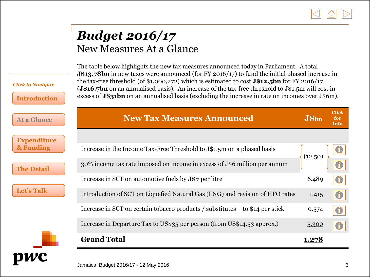

#### *Budget 2016/17*  New Measures At a Glance

*Click to Navigate*

<span id="page-2-0"></span>pwc

**[Introduction](#page-1-0)**

The table below highlights the new tax measures announced today in Parliament. A total **J\$13.78bn** in new taxes were announced (for FY 2016/17) to fund the initial phased increase in the tax-free threshold (of \$1,000,272) which is estimated to cost **J\$12.5bn** for FY 2016/17 (**J\$16.7bn** on an annualised basis). An increase of the tax-free threshold to J\$1.5m will cost in excess of **J\$31bn** on an annualised basis (excluding the increase in rate on incomes over J\$6m).

| <b>Expenditure</b><br>& Funding<br>Increase in the Income Tax-Free Threshold to J\$1.5m on a phased basis<br>(12.50)<br>30% income tax rate imposed on income in excess of J\$6 million per annum<br><b>The Detail</b><br>Increase in SCT on automotive fuels by $J\$ 7 per litre<br>6.489 | <b>At a Glance</b> |  |  |
|--------------------------------------------------------------------------------------------------------------------------------------------------------------------------------------------------------------------------------------------------------------------------------------------|--------------------|--|--|
|                                                                                                                                                                                                                                                                                            |                    |  |  |
|                                                                                                                                                                                                                                                                                            |                    |  |  |
|                                                                                                                                                                                                                                                                                            |                    |  |  |
|                                                                                                                                                                                                                                                                                            |                    |  |  |
| Introduction of SCT on Liquefied Natural Gas (LNG) and revision of HFO rates<br>1.415<br>$\mathbf{I}$                                                                                                                                                                                      | <b>Let's Talk</b>  |  |  |
| Increase in SCT on certain tobacco products / substitutes – to \$14 per stick<br>0.574<br>$\mathbf{U}$                                                                                                                                                                                     |                    |  |  |
| Increase in Departure Tax to US\$35 per person (from US\$14.53 approx.)<br>5.300                                                                                                                                                                                                           |                    |  |  |
| <b>Grand Total</b><br>1.278                                                                                                                                                                                                                                                                |                    |  |  |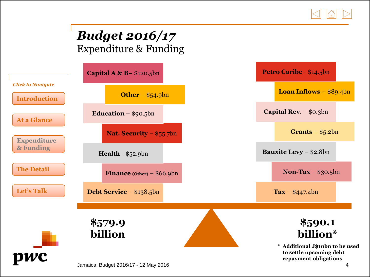

## *Budget 2016/17*  Expenditure & Funding

<span id="page-3-0"></span>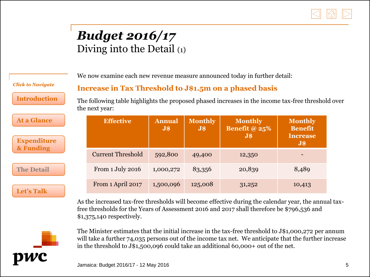

### *Budget 2016/17* Diving into the Detail (1)

We now examine each new revenue measure announced today in further detail:

**Increase in Tax Threshold to J\$1.5m on a phased basis**

*Click to Navigate*

**[Introduction](#page-1-0)**

**[At a Glance](#page-2-0)** 

**[Expenditure](#page-3-0) & Funding**

**The Detail**

**[Let's Talk](#page-14-0)**

The following table highlights the proposed phased increases in the income tax-free threshold over the next year:

| <b>Effective</b>         | <b>Annual</b><br>$\overline{\mathbf{J}}$ \$ | <b>Monthly</b><br>$J$ \$ | <b>Monthly</b><br>Benefit @ $25%$<br><b>J\$</b> | <b>Monthly</b><br><b>Benefit</b><br><b>Increase</b><br>$\overline{\mathbf{J}}$ \$ |  |
|--------------------------|---------------------------------------------|--------------------------|-------------------------------------------------|-----------------------------------------------------------------------------------|--|
| <b>Current Threshold</b> | 592,800                                     | 49,400                   | 12,350                                          |                                                                                   |  |
| From 1 July 2016         | 1,000,272                                   | 83,356                   | 20,839                                          | 8,489                                                                             |  |
| From 1 April 2017        | 1,500,096                                   | 125,008                  | 31,252                                          | 10,413                                                                            |  |

As the increased tax-free thresholds will become effective during the calendar year, the annual taxfree thresholds for the Years of Assessment 2016 and 2017 shall therefore be \$796,536 and \$1,375,140 respectively.

<span id="page-4-0"></span>

The Minister estimates that the initial increase in the tax-free threshold to J\$1,000,272 per annum will take a further 74,035 persons out of the income tax net. We anticipate that the further increase in the threshold to J\$1,500,096 could take an additional 60,000+ out of the net.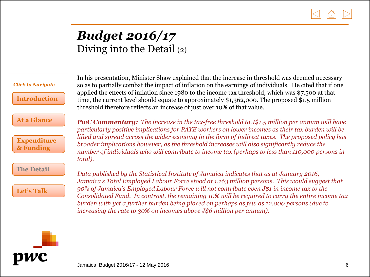

### *Budget 2016/17*  Diving into the Detail (2)

*total). Click to Navigate* **[Introduction](#page-1-0) [At a Glance](#page-2-0) [Expenditure](#page-3-0) & Funding [The Detail](#page-4-0) [Let's Talk](#page-14-0)**

In his presentation, Minister Shaw explained that the increase in threshold was deemed necessary so as to partially combat the impact of inflation on the earnings of individuals. He cited that if one applied the effects of inflation since 1980 to the income tax threshold, which was \$7,500 at that time, the current level should equate to approximately \$1,362,000. The proposed \$1.5 million threshold therefore reflects an increase of just over 10% of that value.

*PwC Commentary: The increase in the tax-free threshold to J\$1.5 million per annum will have particularly positive implications for PAYE workers on lower incomes as their tax burden will be lifted and spread across the wider economy in the form of indirect taxes. The proposed policy has broader implications however, as the threshold increases will also significantly reduce the number of individuals who will contribute to income tax (perhaps to less than 110,000 persons in* 

*Data published by the Statistical Institute of Jamaica indicates that as at January 2016, Jamaica's Total Employed Labour Force stood at 1.163 million persons. This would suggest that 90% of Jamaica's Employed Labour Force will not contribute even J\$1 in income tax to the Consolidated Fund. In contrast, the remaining 10% will be required to carry the entire income tax burden with yet a further burden being placed on perhaps as few as 12,000 persons (due to increasing the rate to 30% on incomes above J\$6 million per annum).*

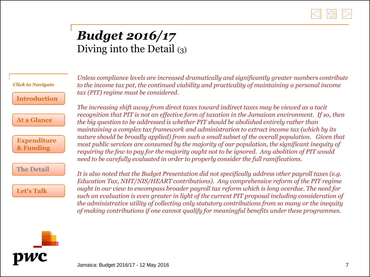

### *Budget 2016/17* Diving into the Detail (3)

*Click to Navigate*

**[Introduction](#page-1-0)**

**[At a Glance](#page-2-0)**

**[Expenditure](#page-3-0) & Funding**

**[The Detail](#page-4-0)**

**[Let's Talk](#page-14-0)**

*Unless compliance levels are increased dramatically and significantly greater numbers contribute to the income tax pot, the continued viability and practicality of maintaining a personal income tax (PIT) regime must be considered.* 

*The increasing shift away from direct taxes toward indirect taxes may be viewed as a tacit recognition that PIT is not an effective form of taxation in the Jamaican environment. If so, then the big question to be addressed is whether PIT should be abolished entirely rather than maintaining a complex tax framework and administration to extract income tax (which by its nature should be broadly applied) from such a small subset of the overall population. Given that most public services are consumed by the majority of our population, the significant inequity of requiring the few to pay for the majority ought not to be ignored. Any abolition of PIT would need to be carefully evaluated in order to properly consider the full ramifications.* 

*It is also noted that the Budget Presentation did not specifically address other payroll taxes (e.g. Education Tax, NHT/NIS/HEART contributions). Any comprehensive reform of the PIT regime ought in our view to encompass broader payroll tax reform which is long overdue. The need for such an evaluation is even greater in light of the current PIT proposal including consideration of the administrative utility of collecting only statutory contributions from so many or the inequity of making contributions if one cannot qualify for meaningful benefits under these programmes.* 

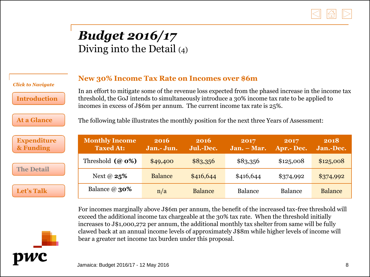

#### *Budget 2016/17*  Diving into the Detail (4)

#### **New 30% Income Tax Rate on Incomes over \$6m**

**[Introduction](#page-1-0)**

**[At a Glance](#page-2-0)**

**[Expenditure](#page-3-0) & Funding**

**[The Detail](#page-4-0)**

**[Let's Talk](#page-14-0)**

*Click to Navigate*

In an effort to mitigate some of the revenue loss expected from the phased increase in the income tax threshold, the GoJ intends to simultaneously introduce a 30% income tax rate to be applied to incomes in excess of J\$6m per annum. The current income tax rate is 25%.

The following table illustrates the monthly position for the next three Years of Assessment:

| <b>Monthly Income</b><br><b>Taxed At:</b> | 2016<br>Jan.- Jun. | 2016<br>Jul.-Dec. | 2017<br>$Jan. - Mar.$ | 2017<br>Apr.- Dec. | 2018<br>Jan.-Dec. |
|-------------------------------------------|--------------------|-------------------|-----------------------|--------------------|-------------------|
| Threshold $(a\ 0\%)$                      | \$49,400           | \$83,356          | \$83,356              | \$125,008          | \$125,008         |
| Next @ $25%$                              | <b>Balance</b>     | \$416,644         | \$416,644             | \$374,992          | \$374,992         |
| Balance $\omega$ 30%                      | n/a                | <b>Balance</b>    | Balance               | Balance            | <b>Balance</b>    |

For incomes marginally above J\$6m per annum, the benefit of the increased tax-free threshold will exceed the additional income tax chargeable at the 30% tax rate. When the threshold initially increases to J\$1,000,272 per annum, the additional monthly tax shelter from same will be fully clawed back at an annual income levels of approximately J\$8m while higher levels of income will bear a greater net income tax burden under this proposal.

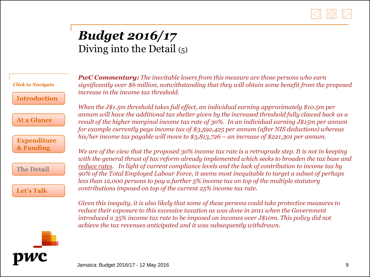

### *Budget 2016/17* Diving into the Detail  $(5)$

*Click to Navigate*

**[Introduction](#page-1-0)**

**[At a Glance](#page-2-0)**

**[Expenditure](#page-3-0) & Funding**

**[The Detail](#page-4-0)**

**[Let's Talk](#page-14-0)**

*PwC Commentary: The inevitable losers from this measure are those persons who earn significantly over \$6 million, notwithstanding that they will obtain some benefit from the proposed increase in the income tax threshold.* 

*When the J\$1.5m threshold takes full effect, an individual earning approximately \$10.5m per annum will have the additional tax shelter given by the increased threshold fully clawed back as a result of the higher marginal income tax rate of 30%. In an individual earning J\$15m per annum for example currently pays income tax of \$3,592,425 per annum (after NIS deductions) whereas his/her income tax payable will move to \$3,813,726 – an increase of \$221,301 per annum.* 

*We are of the view that the proposed 30% income tax rate is a retrograde step. It is not in keeping with the general thrust of tax reform already implemented which seeks to broaden the tax base and reduce rates. In light of current compliance levels and the lack of contribution to income tax by 90% of the Total Employed Labour Force, it seems most inequitable to target a subset of perhaps less than 12,000 persons to pay a further 5% income tax on top of the multiple statutory contributions imposed on top of the current 25% income tax rate.* 

*Given this inequity, it is also likely that some of these persons could take protective measures to reduce their exposure to this excessive taxation as was done in 2011 when the Government introduced a 35% income tax rate to be imposed on incomes over J\$10m. This policy did not achieve the tax revenues anticipated and it was subsequently withdrawn.*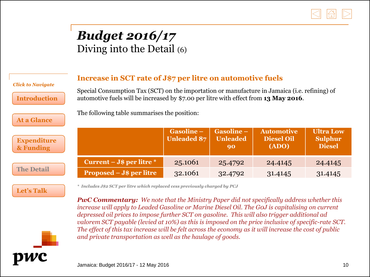

### *Budget 2016/17* Diving into the Detail (6)

| <b>Click to Navigate</b><br><b>Introduction</b><br><b>At a Glance</b> | Increase in SCT rate of J\$7 per litre on automotive fuels<br>Special Consumption Tax (SCT) on the importation or manufacture in Jamaica (i.e. refining) of<br>automotive fuels will be increased by \$7.00 per litre with effect from 13 May 2016.<br>The following table summarises the position: |                                 |                                     |                                                 |                                                     |  |  |  |
|-----------------------------------------------------------------------|-----------------------------------------------------------------------------------------------------------------------------------------------------------------------------------------------------------------------------------------------------------------------------------------------------|---------------------------------|-------------------------------------|-------------------------------------------------|-----------------------------------------------------|--|--|--|
| <b>Expenditure</b><br>& Funding                                       |                                                                                                                                                                                                                                                                                                     | Gasoline-<br><b>Unleaded 87</b> | Gasoline –<br><b>Unleaded</b><br>90 | <b>Automotive</b><br><b>Diesel Oil</b><br>(ADO) | <b>Ultra Low</b><br><b>Sulphur</b><br><b>Diesel</b> |  |  |  |
|                                                                       | Current – J $\phi$ per litre $*$                                                                                                                                                                                                                                                                    | 25.1061                         | 25.4792                             | 24.4145                                         | 24.4145                                             |  |  |  |
| <b>The Detail</b>                                                     | Proposed – J\$ per litre                                                                                                                                                                                                                                                                            | 32.1061                         | 32.4792                             | 31.4145                                         | 31.4145                                             |  |  |  |
|                                                                       |                                                                                                                                                                                                                                                                                                     |                                 |                                     |                                                 |                                                     |  |  |  |

*\* Includes J\$2 SCT per litre which replaced cess previously charged by PCJ*

*PwC Commentary: We note that the Ministry Paper did not specifically address whether this increase will apply to Leaded Gasoline or Marine Diesel Oil. The G0J is capitalising on current depressed oil prices to impose further SCT on gasoline. This will also trigger additional ad valorem SCT payable (levied at 10%) as this is imposed on the price inclusive of specific-rate SCT. The effect of this tax increase will be felt across the economy as it will increase the cost of public and private transportation as well as the haulage of goods.* 

**[Let's Talk](#page-14-0)**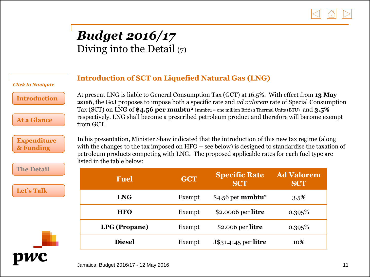

### *Budget 2016/17*  Diving into the Detail  $(7)$

from GCT.

#### **Introduction of SCT on Liquefied Natural Gas (LNG)**

### *Click to Navigate*

**[Introduction](#page-1-0)**

**[At a Glance](#page-2-0)**

**[Expenditure](#page-3-0) & Funding**

**[The Detail](#page-4-0)**

**[Let's Talk](#page-14-0)**

In his presentation, Minister Shaw indicated that the introduction of this new tax regime (along with the changes to the tax imposed on HFO – see below) is designed to standardise the taxation of petroleum products competing with LNG. The proposed applicable rates for each fuel type are listed in the table below:

At present LNG is liable to General Consumption Tax (GCT) at 16.5%. With effect from **13 May 2016**, the GoJ proposes to impose both a specific rate and *ad valorem* rate of Special Consumption

Tax (SCT) on LNG of **\$4.56 per mmbtu<sup>2</sup>**[mmbtu = one million British Thermal Units (BTU)] and **3.5%** respectively. LNG shall become a prescribed petroleum product and therefore will become exempt

| <b>Fuel</b>          | <b>GCT</b> | <b>Specific Rate</b><br><b>SCT</b> | <b>Ad Valorem</b><br><b>SCT</b> |
|----------------------|------------|------------------------------------|---------------------------------|
| <b>LNG</b>           | Exempt     | $$4.56$ per mmbtu <sup>2</sup>     | $3.5\%$                         |
| <b>HFO</b>           | Exempt     | \$2.0006 per litre                 | 0.395%                          |
| <b>LPG</b> (Propane) | Exempt     | \$2.006 per litre                  | 0.395%                          |
| <b>Diesel</b>        | Exempt     | J\$31.4145 per litre               | 10%                             |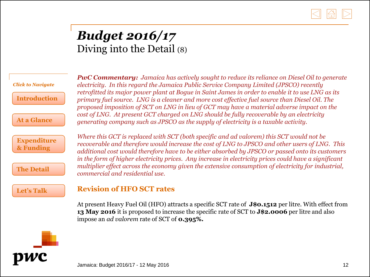

#### *Budget 2016/17*  Diving into the Detail (8)

| <b>Click to Navigate</b>        |
|---------------------------------|
| <b>Introduction</b>             |
| At a Glance                     |
| <b>Expenditure</b><br>& Funding |
| <b>The Detail</b>               |
| <b>Let's Talk</b>               |

*PwC Commentary: Jamaica has actively sought to reduce its reliance on Diesel Oil to generate electricity. In this regard the Jamaica Public Service Company Limited (JPSCO) recently retrofitted its major power plant at Bogue in Saint James in order to enable it to use LNG as its primary fuel source. LNG is a cleaner and more cost effective fuel source than Diesel Oil. The proposed imposition of SCT on LNG in lieu of GCT may have a material adverse impact on the cost of LNG. At present GCT charged on LNG should be fully recoverable by an electricity generating company such as JPSCO as the supply of electricity is a taxable activity.* 

*Where this GCT is replaced with SCT (both specific and ad valorem) this SCT would not be recoverable and therefore would increase the cost of LNG to JPSCO and other users of LNG. This additional cost would therefore have to be either absorbed by JPSCO or passed onto its customers in the form of higher electricity prices. Any increase in electricity prices could have a significant multiplier effect across the economy given the extensive consumption of electricity for industrial, commercial and residential use.* 

#### **Revision of HFO SCT rates**

At present Heavy Fuel Oil (HFO) attracts a specific SCT rate of **J\$0.1512** per litre. With effect from **13 May 2016** it is proposed to increase the specific rate of SCT to **J\$2.0006** per litre and also impose an *ad valorem* rate of SCT of **0.395%.**

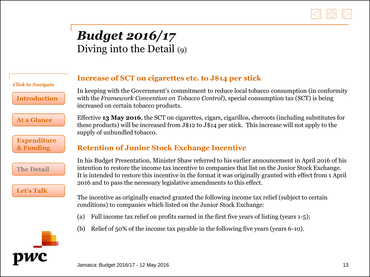

### *Budget 2016/17* Diving into the Detail (9)

*Click to Navigate*

**[Introduction](#page-1-0)**

**[At a Glance](#page-2-0)**

**[Expenditure](#page-3-0) & Funding**

**[The Detail](#page-4-0)**

**[Let's Talk](#page-14-0)**

#### **Increase of SCT on cigarettes etc. to J\$14 per stick**

In keeping with the Government's commitment to reduce local tobacco consumption (in conformity with the *Framework Convention on Tobacco Control*), special consumption tax (SCT) is being increased on certain tobacco products.

Effective **13 May 2016**, the SCT on cigarettes, cigars, cigarillos, cheroots (including substitutes for these products) will be increased from J\$12 to J\$14 per stick. This increase will not apply to the supply of unbundled tobacco.

#### **Retention of Junior Stock Exchange Incentive**

In his Budget Presentation, Minister Shaw referred to his earlier announcement in April 2016 of his intention to restore the income tax incentive to companies that list on the Junior Stock Exchange. It is intended to restore this incentive in the format it was originally granted with effect from 1 April 2016 and to pass the necessary legislative amendments to this effect.

The incentive as originally enacted granted the following income tax relief (subject to certain conditions) to companies which listed on the Junior Stock Exchange:

- (a) Full income tax relief on profits earned in the first five years of listing (years 1-5);
- (b) Relief of 50% of the income tax payable in the following five years (years 6-10).

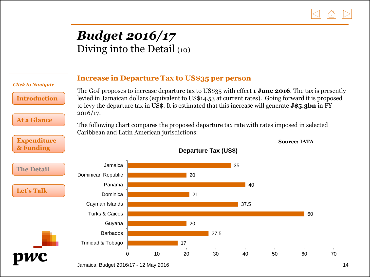

#### *Budget 2016/17*  Diving into the Detail (10)

| <b>Click to Navigate</b>                  | <b>Increase in Departure Tax to US\$35 per person</b>                                                                                                                                                                                                                                                                                                                                                                                                                                    |  |    |    |      |      |    |                     |    |
|-------------------------------------------|------------------------------------------------------------------------------------------------------------------------------------------------------------------------------------------------------------------------------------------------------------------------------------------------------------------------------------------------------------------------------------------------------------------------------------------------------------------------------------------|--|----|----|------|------|----|---------------------|----|
| <b>Introduction</b><br><b>At a Glance</b> | The GoJ proposes to increase departure tax to US\$35 with effect <b>1 June 2016</b> . The tax is presently<br>levied in Jamaican dollars (equivalent to US\$14.53 at current rates). Going forward it is proposed<br>to levy the departure tax in US\$. It is estimated that this increase will generate <b>J\$5.3bn</b> in FY<br>2016/17.<br>The following chart compares the proposed departure tax rate with rates imposed in selected<br>Caribbean and Latin American jurisdictions: |  |    |    |      |      |    |                     |    |
| <b>Expenditure</b>                        |                                                                                                                                                                                                                                                                                                                                                                                                                                                                                          |  |    |    |      |      |    | <b>Source: IATA</b> |    |
| & Funding                                 | <b>Departure Tax (US\$)</b>                                                                                                                                                                                                                                                                                                                                                                                                                                                              |  |    |    |      |      |    |                     |    |
| <b>The Detail</b>                         | Jamaica<br>Dominican Republic                                                                                                                                                                                                                                                                                                                                                                                                                                                            |  |    | 20 |      | 35   |    |                     |    |
| <b>Let's Talk</b>                         | Panama<br>Dominica                                                                                                                                                                                                                                                                                                                                                                                                                                                                       |  |    | 21 |      | 40   |    |                     |    |
|                                           | Cayman Islands                                                                                                                                                                                                                                                                                                                                                                                                                                                                           |  |    |    |      | 37.5 |    |                     |    |
|                                           | <b>Turks &amp; Caicos</b>                                                                                                                                                                                                                                                                                                                                                                                                                                                                |  |    |    |      |      |    | 60                  |    |
|                                           | Guyana                                                                                                                                                                                                                                                                                                                                                                                                                                                                                   |  |    | 20 |      |      |    |                     |    |
|                                           | <b>Barbados</b>                                                                                                                                                                                                                                                                                                                                                                                                                                                                          |  |    |    | 27.5 |      |    |                     |    |
|                                           | Trinidad & Tobago                                                                                                                                                                                                                                                                                                                                                                                                                                                                        |  |    | 17 |      |      |    |                     |    |
|                                           |                                                                                                                                                                                                                                                                                                                                                                                                                                                                                          |  | 10 | 20 | 30   | 40   | 50 | 60                  | 70 |

Jamaica: Budget 2016/17 - 12 May 2016